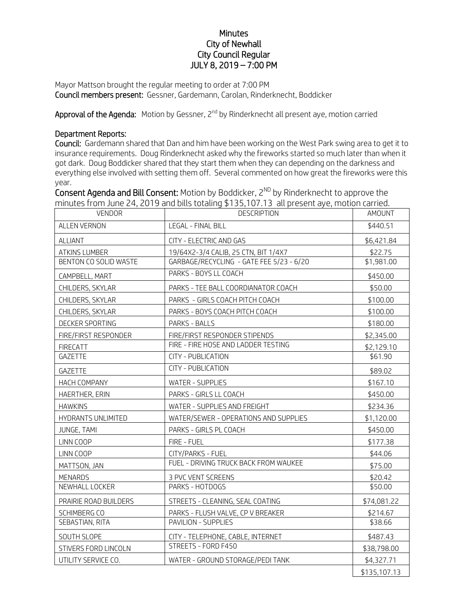## **Minutes** City of Newhall City Council Regular JULY 8, 2019 – 7:00 PM

Mayor Mattson brought the regular meeting to order at 7:00 PM Council members present: Gessner, Gardemann, Carolan, Rinderknecht, Boddicker

**Approval of the Agenda:** Motion by Gessner, 2<sup>nd</sup> by Rinderknecht all present aye, motion carried

## Department Reports:

Council: Gardemann shared that Dan and him have been working on the West Park swing area to get it to insurance requirements. Doug Rinderknecht asked why the fireworks started so much later than when it got dark. Doug Boddicker shared that they start them when they can depending on the darkness and everything else involved with setting them off. Several commented on how great the fireworks were this year.

Consent Agenda and Bill Consent: Motion by Boddicker,  $2^{ND}$  by Rinderknecht to approve the minutes from June 24, 2019 and bills totaling \$135,107.13 all present aye, motion carried.

| <b>VENDOR</b>         | <b>DESCRIPTION</b>                       | AMOUNT       |
|-----------------------|------------------------------------------|--------------|
| ALLEN VERNON          | LEGAL - FINAL BILL                       | \$440.51     |
| ALLIANT               | CITY - ELECTRIC AND GAS                  | \$6,421.84   |
| <b>ATKINS LUMBER</b>  | 19/64X2-3/4 CALIB, 25 CTN, BIT 1/4X7     | \$22.75      |
| BENTON CO SOLID WASTE | GARBAGE/RECYCLING - GATE FEE 5/23 - 6/20 | \$1,981.00   |
| CAMPBELL, MART        | PARKS - BOYS LL COACH                    | \$450.00     |
| CHILDERS, SKYLAR      | PARKS - TEE BALL COORDIANATOR COACH      | \$50.00      |
| CHILDERS, SKYLAR      | PARKS - GIRLS COACH PITCH COACH          | \$100.00     |
| CHILDERS, SKYLAR      | PARKS - BOYS COACH PITCH COACH           | \$100.00     |
| DECKER SPORTING       | PARKS - BALLS                            | \$180.00     |
| FIRE/FIRST RESPONDER  | FIRE/FIRST RESPONDER STIPENDS            | \$2,345.00   |
| <b>FIRECATT</b>       | FIRE - FIRE HOSE AND LADDER TESTING      | \$2,129.10   |
| GAZETTE               | <b>CITY - PUBLICATION</b>                | \$61.90      |
| GAZETTE               | <b>CITY - PUBLICATION</b>                | \$89.02      |
| HACH COMPANY          | <b>WATER - SUPPLIES</b>                  | \$167.10     |
| HAERTHER, ERIN        | PARKS - GIRLS LL COACH                   | \$450.00     |
| <b>HAWKINS</b>        | WATER - SUPPLIES AND FREIGHT             | \$234.36     |
| HYDRANTS UNLIMITED    | WATER/SEWER - OPERATIONS AND SUPPLIES    | \$1,120.00   |
| JUNGE, TAMI           | PARKS - GIRLS PL COACH                   | \$450.00     |
| LINN COOP             | FIRE - FUEL                              | \$177.38     |
| LINN COOP             | CITY/PARKS - FUEL                        | \$44.06      |
| MATTSON, JAN          | FUEL - DRIVING TRUCK BACK FROM WAUKEE    | \$75.00      |
| <b>MENARDS</b>        | 3 PVC VENT SCREENS                       | \$20.42      |
| NEWHALL LOCKER        | PARKS - HOTDOGS                          | \$50.00      |
| PRAIRIE ROAD BUILDERS | STREETS - CLEANING, SEAL COATING         | \$74,081.22  |
| SCHIMBERG CO          | PARKS - FLUSH VALVE, CP V BREAKER        | \$214.67     |
| SEBASTIAN, RITA       | PAVILION - SUPPLIES                      | \$38.66      |
| SOUTH SLOPE           | CITY - TELEPHONE, CABLE, INTERNET        | \$487.43     |
| STIVERS FORD LINCOLN  | STREETS - FORD F450                      | \$38,798.00  |
| UTILITY SERVICE CO.   | WATER - GROUND STORAGE/PEDI TANK         | \$4,327.71   |
|                       |                                          | \$135,107.13 |